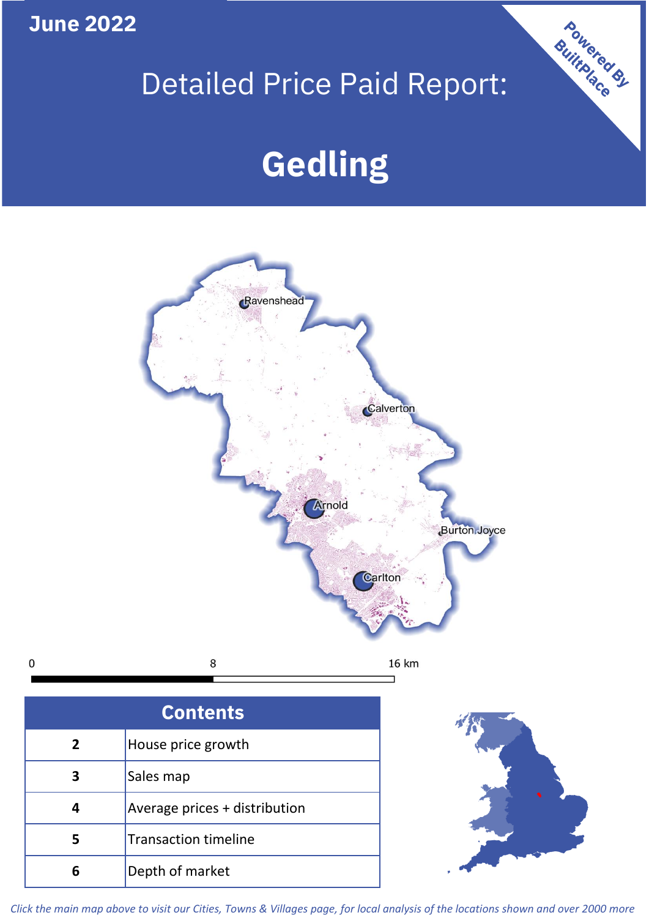**June 2022**

 $\mathbf 0$ 

# Detailed Price Paid Report:

# **Gedling**



| <b>Contents</b> |                               |  |  |
|-----------------|-------------------------------|--|--|
| $\overline{2}$  | House price growth            |  |  |
| 3               | Sales map                     |  |  |
| 4               | Average prices + distribution |  |  |
| 5               | <b>Transaction timeline</b>   |  |  |
|                 | Depth of market               |  |  |



Powered By

*Click the main map above to visit our Cities, Towns & Villages page, for local analysis of the locations shown and over 2000 more*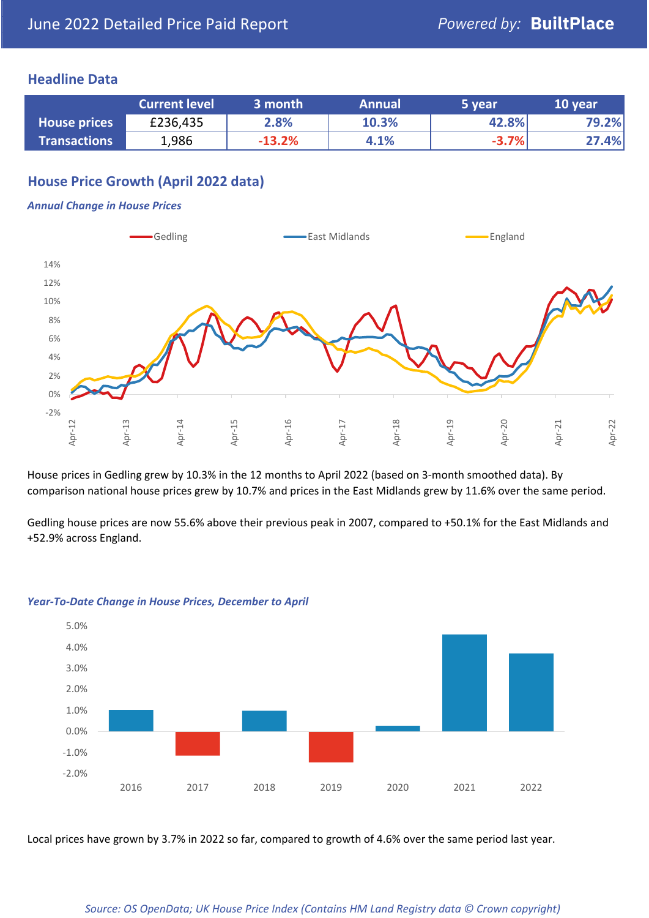## **Headline Data**

|                     | <b>Current level</b> | 3 month  | <b>Annual</b> | 5 year  | 10 year |
|---------------------|----------------------|----------|---------------|---------|---------|
| <b>House prices</b> | £236,435             | 2.8%     | 10.3%         | 42.8%   | 79.2%   |
| <b>Transactions</b> | 1,986                | $-13.2%$ | 4.1%          | $-3.7%$ | 27.4%   |

# **House Price Growth (April 2022 data)**

#### *Annual Change in House Prices*



House prices in Gedling grew by 10.3% in the 12 months to April 2022 (based on 3-month smoothed data). By comparison national house prices grew by 10.7% and prices in the East Midlands grew by 11.6% over the same period.

Gedling house prices are now 55.6% above their previous peak in 2007, compared to +50.1% for the East Midlands and +52.9% across England.



#### *Year-To-Date Change in House Prices, December to April*

Local prices have grown by 3.7% in 2022 so far, compared to growth of 4.6% over the same period last year.

### *Source: OS OpenData; UK House Price Index (Contains HM Land Registry data © Crown copyright)*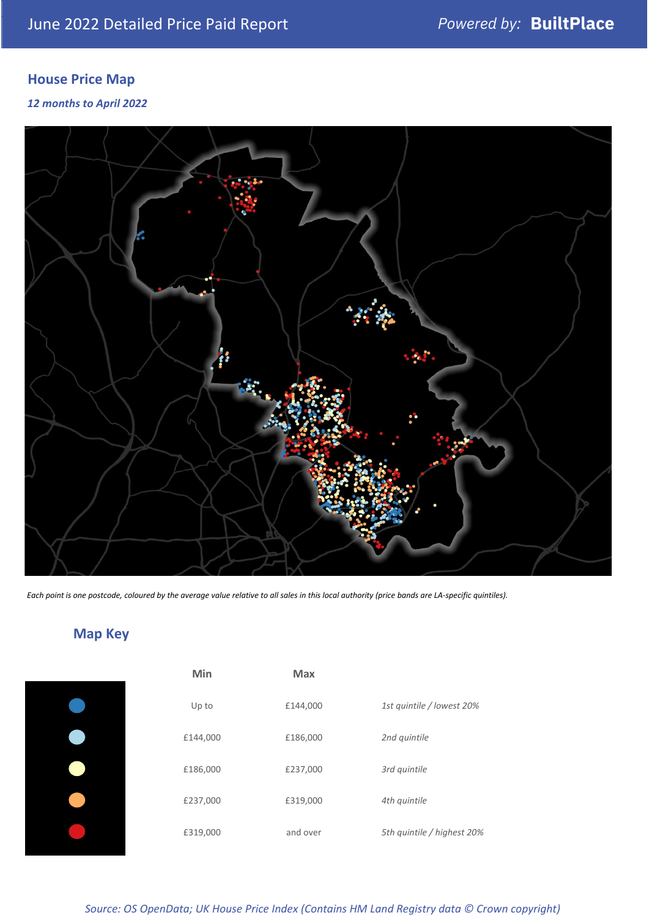# **House Price Map**

*12 months to April 2022*



*Each point is one postcode, coloured by the average value relative to all sales in this local authority (price bands are LA-specific quintiles).*

# **Map Key**

| Min      | Max      |                            |
|----------|----------|----------------------------|
| Up to    | £144,000 | 1st quintile / lowest 20%  |
| £144,000 | £186,000 | 2nd quintile               |
| £186,000 | £237,000 | 3rd quintile               |
| £237,000 | £319,000 | 4th quintile               |
| £319,000 | and over | 5th quintile / highest 20% |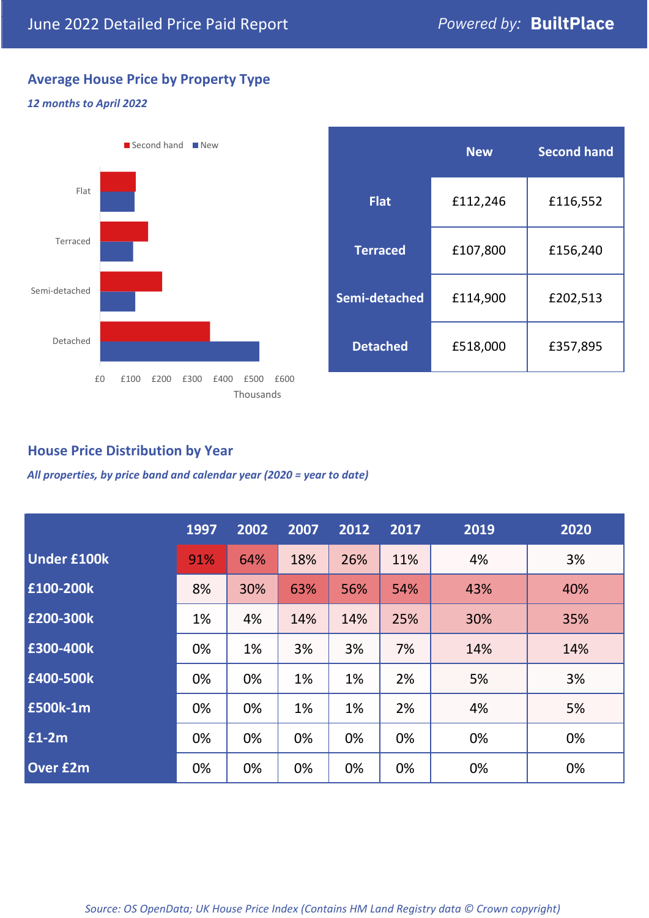# **Average House Price by Property Type**

### *12 months to April 2022*



# **House Price Distribution by Year**

*All properties, by price band and calendar year (2020 = year to date)*

|                    | 1997 | 2002 | 2007 | 2012 | 2017 | 2019 | 2020 |
|--------------------|------|------|------|------|------|------|------|
| <b>Under £100k</b> | 91%  | 64%  | 18%  | 26%  | 11%  | 4%   | 3%   |
| £100-200k          | 8%   | 30%  | 63%  | 56%  | 54%  | 43%  | 40%  |
| £200-300k          | 1%   | 4%   | 14%  | 14%  | 25%  | 30%  | 35%  |
| £300-400k          | 0%   | 1%   | 3%   | 3%   | 7%   | 14%  | 14%  |
| £400-500k          | 0%   | 0%   | 1%   | 1%   | 2%   | 5%   | 3%   |
| <b>£500k-1m</b>    | 0%   | 0%   | 1%   | 1%   | 2%   | 4%   | 5%   |
| £1-2m              | 0%   | 0%   | 0%   | 0%   | 0%   | 0%   | 0%   |
| <b>Over £2m</b>    | 0%   | 0%   | 0%   | 0%   | 0%   | 0%   | 0%   |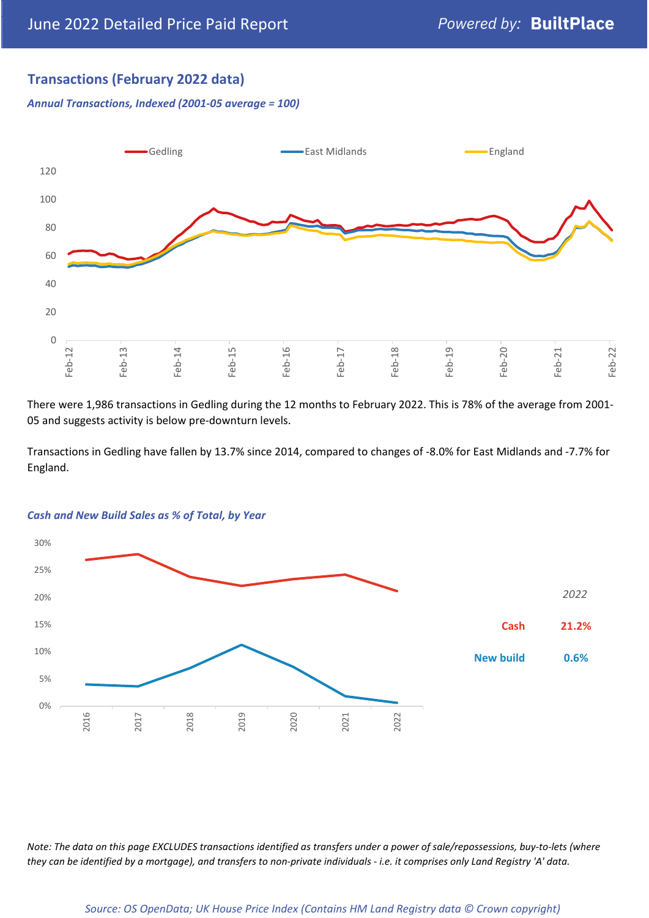# **Transactions (February 2022 data)**

*Annual Transactions, Indexed (2001-05 average = 100)*



There were 1,986 transactions in Gedling during the 12 months to February 2022. This is 78% of the average from 2001- 05 and suggests activity is below pre-downturn levels.

Transactions in Gedling have fallen by 13.7% since 2014, compared to changes of -8.0% for East Midlands and -7.7% for England.



#### *Cash and New Build Sales as % of Total, by Year*

*Note: The data on this page EXCLUDES transactions identified as transfers under a power of sale/repossessions, buy-to-lets (where they can be identified by a mortgage), and transfers to non-private individuals - i.e. it comprises only Land Registry 'A' data.*